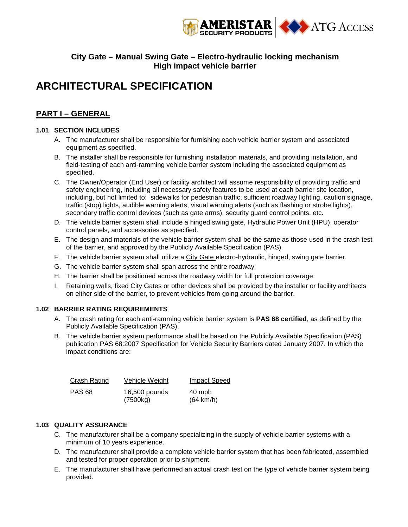

## **City Gate – Manual Swing Gate – Electro-hydraulic locking mechanism High impact vehicle barrier**

# **ARCHITECTURAL SPECIFICATION**

# **PART I – GENERAL**

## **1.01 SECTION INCLUDES**

- A. The manufacturer shall be responsible for furnishing each vehicle barrier system and associated equipment as specified.
- B. The installer shall be responsible for furnishing installation materials, and providing installation, and field-testing of each anti-ramming vehicle barrier system including the associated equipment as specified.
- C. The Owner/Operator (End User) or facility architect will assume responsibility of providing traffic and safety engineering, including all necessary safety features to be used at each barrier site location, including, but not limited to: sidewalks for pedestrian traffic, sufficient roadway lighting, caution signage, traffic (stop) lights, audible warning alerts, visual warning alerts (such as flashing or strobe lights), secondary traffic control devices (such as gate arms), security guard control points, etc.
- D. The vehicle barrier system shall include a hinged swing gate, Hydraulic Power Unit (HPU), operator control panels, and accessories as specified.
- E. The design and materials of the vehicle barrier system shall be the same as those used in the crash test of the barrier, and approved by the Publicly Available Specification (PAS).
- F. The vehicle barrier system shall utilize a City Gate electro-hydraulic, hinged, swing gate barrier.
- G. The vehicle barrier system shall span across the entire roadway.
- H. The barrier shall be positioned across the roadway width for full protection coverage.
- I. Retaining walls, fixed City Gates or other devices shall be provided by the installer or facility architects on either side of the barrier, to prevent vehicles from going around the barrier.

## **1.02 BARRIER RATING REQUIREMENTS**

- A. The crash rating for each anti-ramming vehicle barrier system is **PAS 68 certified**, as defined by the Publicly Available Specification (PAS).
- B. The vehicle barrier system performance shall be based on the Publicly Available Specification (PAS) publication PAS 68:2007 Specification for Vehicle Security Barriers dated January 2007. In which the impact conditions are:

| Crash Rating  | Vehicle Weight            | <b>Impact Speed</b>           |
|---------------|---------------------------|-------------------------------|
| <b>PAS 68</b> | 16,500 pounds<br>(7500kg) | 40 mph<br>$(64 \text{ km/h})$ |

## **1.03 QUALITY ASSURANCE**

- C. The manufacturer shall be a company specializing in the supply of vehicle barrier systems with a minimum of 10 years experience.
- D. The manufacturer shall provide a complete vehicle barrier system that has been fabricated, assembled and tested for proper operation prior to shipment.
- E. The manufacturer shall have performed an actual crash test on the type of vehicle barrier system being provided.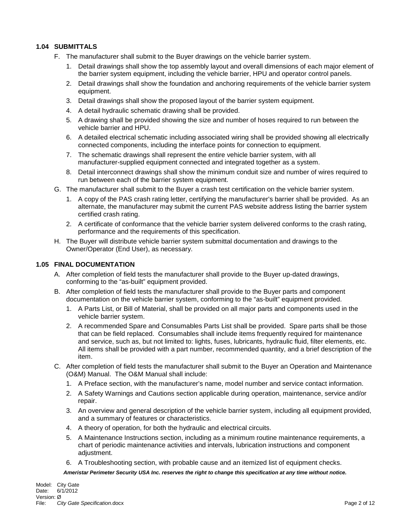## **1.04 SUBMITTALS**

- F. The manufacturer shall submit to the Buyer drawings on the vehicle barrier system.
	- 1. Detail drawings shall show the top assembly layout and overall dimensions of each major element of the barrier system equipment, including the vehicle barrier, HPU and operator control panels.
	- 2. Detail drawings shall show the foundation and anchoring requirements of the vehicle barrier system equipment.
	- 3. Detail drawings shall show the proposed layout of the barrier system equipment.
	- 4. A detail hydraulic schematic drawing shall be provided.
	- 5. A drawing shall be provided showing the size and number of hoses required to run between the vehicle barrier and HPU.
	- 6. A detailed electrical schematic including associated wiring shall be provided showing all electrically connected components, including the interface points for connection to equipment.
	- 7. The schematic drawings shall represent the entire vehicle barrier system, with all manufacturer-supplied equipment connected and integrated together as a system.
	- 8. Detail interconnect drawings shall show the minimum conduit size and number of wires required to run between each of the barrier system equipment.
- G. The manufacturer shall submit to the Buyer a crash test certification on the vehicle barrier system.
	- 1. A copy of the PAS crash rating letter, certifying the manufacturer's barrier shall be provided. As an alternate, the manufacturer may submit the current PAS website address listing the barrier system certified crash rating.
	- 2. A certificate of conformance that the vehicle barrier system delivered conforms to the crash rating, performance and the requirements of this specification.
- H. The Buyer will distribute vehicle barrier system submittal documentation and drawings to the Owner/Operator (End User), as necessary.

## **1.05 FINAL DOCUMENTATION**

- A. After completion of field tests the manufacturer shall provide to the Buyer up-dated drawings, conforming to the "as-built" equipment provided.
- B. After completion of field tests the manufacturer shall provide to the Buyer parts and component documentation on the vehicle barrier system, conforming to the "as-built" equipment provided.
	- 1. A Parts List, or Bill of Material, shall be provided on all major parts and components used in the vehicle barrier system.
	- 2. A recommended Spare and Consumables Parts List shall be provided. Spare parts shall be those that can be field replaced. Consumables shall include items frequently required for maintenance and service, such as, but not limited to: lights, fuses, lubricants, hydraulic fluid, filter elements, etc. All items shall be provided with a part number, recommended quantity, and a brief description of the item.
- C. After completion of field tests the manufacturer shall submit to the Buyer an Operation and Maintenance (O&M) Manual. The O&M Manual shall include:
	- 1. A Preface section, with the manufacturer's name, model number and service contact information.
	- 2. A Safety Warnings and Cautions section applicable during operation, maintenance, service and/or repair.
	- 3. An overview and general description of the vehicle barrier system, including all equipment provided, and a summary of features or characteristics.
	- 4. A theory of operation, for both the hydraulic and electrical circuits.
	- 5. A Maintenance Instructions section, including as a minimum routine maintenance requirements, a chart of periodic maintenance activities and intervals, lubrication instructions and component adjustment.
	- 6. A Troubleshooting section, with probable cause and an itemized list of equipment checks.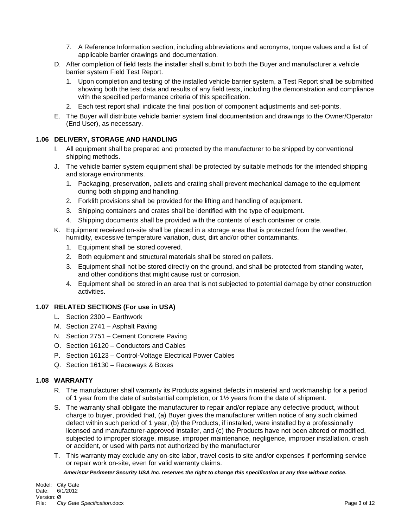- 7. A Reference Information section, including abbreviations and acronyms, torque values and a list of applicable barrier drawings and documentation.
- D. After completion of field tests the installer shall submit to both the Buyer and manufacturer a vehicle barrier system Field Test Report.
	- 1. Upon completion and testing of the installed vehicle barrier system, a Test Report shall be submitted showing both the test data and results of any field tests, including the demonstration and compliance with the specified performance criteria of this specification.
	- 2. Each test report shall indicate the final position of component adjustments and set-points.
- E. The Buyer will distribute vehicle barrier system final documentation and drawings to the Owner/Operator (End User), as necessary.

## **1.06 DELIVERY, STORAGE AND HANDLING**

- I. All equipment shall be prepared and protected by the manufacturer to be shipped by conventional shipping methods.
- J. The vehicle barrier system equipment shall be protected by suitable methods for the intended shipping and storage environments.
	- 1. Packaging, preservation, pallets and crating shall prevent mechanical damage to the equipment during both shipping and handling.
	- 2. Forklift provisions shall be provided for the lifting and handling of equipment.
	- 3. Shipping containers and crates shall be identified with the type of equipment.
	- 4. Shipping documents shall be provided with the contents of each container or crate.
- K. Equipment received on-site shall be placed in a storage area that is protected from the weather, humidity, excessive temperature variation, dust, dirt and/or other contaminants.
	- 1. Equipment shall be stored covered.
	- 2. Both equipment and structural materials shall be stored on pallets.
	- 3. Equipment shall not be stored directly on the ground, and shall be protected from standing water, and other conditions that might cause rust or corrosion.
	- 4. Equipment shall be stored in an area that is not subjected to potential damage by other construction activities.

## **1.07 RELATED SECTIONS (For use in USA)**

- L. Section 2300 Earthwork
- M. Section 2741 Asphalt Paving
- N. Section 2751 Cement Concrete Paving
- O. Section 16120 Conductors and Cables
- P. Section 16123 Control-Voltage Electrical Power Cables
- Q. Section 16130 Raceways & Boxes

## **1.08 WARRANTY**

- R. The manufacturer shall warranty its Products against defects in material and workmanship for a period of 1 year from the date of substantial completion, or 1½ years from the date of shipment.
- S. The warranty shall obligate the manufacturer to repair and/or replace any defective product, without charge to buyer, provided that, (a) Buyer gives the manufacturer written notice of any such claimed defect within such period of 1 year, (b) the Products, if installed, were installed by a professionally licensed and manufacturer-approved installer, and (c) the Products have not been altered or modified, subjected to improper storage, misuse, improper maintenance, negligence, improper installation, crash or accident, or used with parts not authorized by the manufacturer
- T. This warranty may exclude any on-site labor, travel costs to site and/or expenses if performing service or repair work on-site, even for valid warranty claims.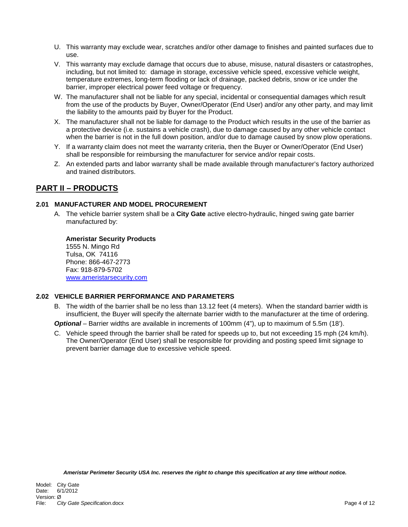- U. This warranty may exclude wear, scratches and/or other damage to finishes and painted surfaces due to use.
- V. This warranty may exclude damage that occurs due to abuse, misuse, natural disasters or catastrophes, including, but not limited to: damage in storage, excessive vehicle speed, excessive vehicle weight, temperature extremes, long-term flooding or lack of drainage, packed debris, snow or ice under the barrier, improper electrical power feed voltage or frequency.
- W. The manufacturer shall not be liable for any special, incidental or consequential damages which result from the use of the products by Buyer, Owner/Operator (End User) and/or any other party, and may limit the liability to the amounts paid by Buyer for the Product.
- X. The manufacturer shall not be liable for damage to the Product which results in the use of the barrier as a protective device (i.e. sustains a vehicle crash), due to damage caused by any other vehicle contact when the barrier is not in the full down position, and/or due to damage caused by snow plow operations.
- Y. If a warranty claim does not meet the warranty criteria, then the Buyer or Owner/Operator (End User) shall be responsible for reimbursing the manufacturer for service and/or repair costs.
- Z. An extended parts and labor warranty shall be made available through manufacturer's factory authorized and trained distributors.

# **PART II – PRODUCTS**

## **2.01 MANUFACTURER AND MODEL PROCUREMENT**

A. The vehicle barrier system shall be a **City Gate** active electro-hydraulic, hinged swing gate barrier manufactured by:

# **Ameristar Security Products**

1555 N. Mingo Rd Tulsa, OK 74116 Phone: 866-467-2773 Fax: 918-879-5702 www.ameristarsecurity.com

## **2.02 VEHICLE BARRIER PERFORMANCE AND PARAMETERS**

B. The width of the barrier shall be no less than 13.12 feet (4 meters). When the standard barrier width is insufficient, the Buyer will specify the alternate barrier width to the manufacturer at the time of ordering.

*Optional* – Barrier widths are available in increments of 100mm (4"), up to maximum of 5.5m (18').

C. Vehicle speed through the barrier shall be rated for speeds up to, but not exceeding 15 mph (24 km/h). The Owner/Operator (End User) shall be responsible for providing and posting speed limit signage to prevent barrier damage due to excessive vehicle speed.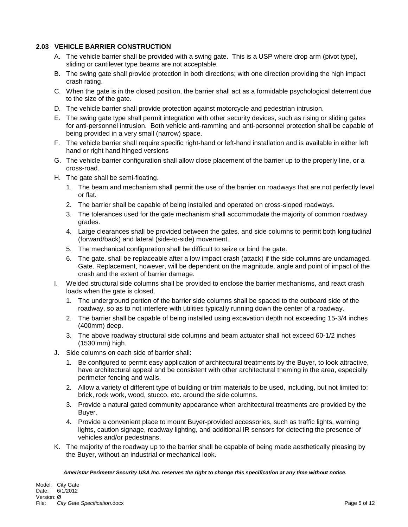#### **2.03 VEHICLE BARRIER CONSTRUCTION**

- A. The vehicle barrier shall be provided with a swing gate. This is a USP where drop arm (pivot type), sliding or cantilever type beams are not acceptable.
- B. The swing gate shall provide protection in both directions; with one direction providing the high impact crash rating.
- C. When the gate is in the closed position, the barrier shall act as a formidable psychological deterrent due to the size of the gate.
- D. The vehicle barrier shall provide protection against motorcycle and pedestrian intrusion.
- E. The swing gate type shall permit integration with other security devices, such as rising or sliding gates for anti-personnel intrusion. Both vehicle anti-ramming and anti-personnel protection shall be capable of being provided in a very small (narrow) space.
- F. The vehicle barrier shall require specific right-hand or left-hand installation and is available in either left hand or right hand hinged versions
- G. The vehicle barrier configuration shall allow close placement of the barrier up to the properly line, or a cross-road.
- H. The gate shall be semi-floating.
	- 1. The beam and mechanism shall permit the use of the barrier on roadways that are not perfectly level or flat.
	- 2. The barrier shall be capable of being installed and operated on cross-sloped roadways.
	- 3. The tolerances used for the gate mechanism shall accommodate the majority of common roadway grades.
	- 4. Large clearances shall be provided between the gates. and side columns to permit both longitudinal (forward/back) and lateral (side-to-side) movement.
	- 5. The mechanical configuration shall be difficult to seize or bind the gate.
	- 6. The gate. shall be replaceable after a low impact crash (attack) if the side columns are undamaged. Gate. Replacement, however, will be dependent on the magnitude, angle and point of impact of the crash and the extent of barrier damage.
- I. Welded structural side columns shall be provided to enclose the barrier mechanisms, and react crash loads when the gate is closed.
	- 1. The underground portion of the barrier side columns shall be spaced to the outboard side of the roadway, so as to not interfere with utilities typically running down the center of a roadway.
	- 2. The barrier shall be capable of being installed using excavation depth not exceeding 15-3/4 inches (400mm) deep.
	- 3. The above roadway structural side columns and beam actuator shall not exceed 60-1/2 inches (1530 mm) high.
- J. Side columns on each side of barrier shall:
	- 1. Be configured to permit easy application of architectural treatments by the Buyer, to look attractive, have architectural appeal and be consistent with other architectural theming in the area, especially perimeter fencing and walls.
	- 2. Allow a variety of different type of building or trim materials to be used, including, but not limited to: brick, rock work, wood, stucco, etc. around the side columns.
	- 3. Provide a natural gated community appearance when architectural treatments are provided by the Buyer.
	- 4. Provide a convenient place to mount Buyer-provided accessories, such as traffic lights, warning lights, caution signage, roadway lighting, and additional IR sensors for detecting the presence of vehicles and/or pedestrians.
- K. The majority of the roadway up to the barrier shall be capable of being made aesthetically pleasing by the Buyer, without an industrial or mechanical look.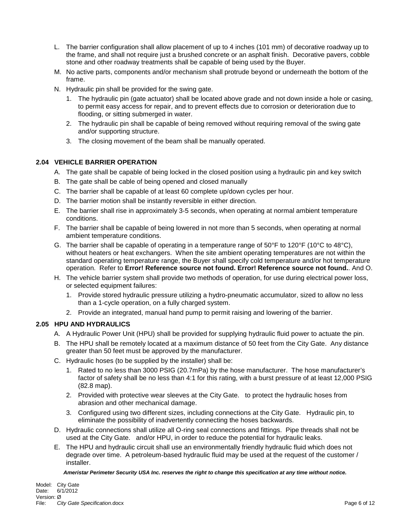- L. The barrier configuration shall allow placement of up to 4 inches (101 mm) of decorative roadway up to the frame, and shall not require just a brushed concrete or an asphalt finish. Decorative pavers, cobble stone and other roadway treatments shall be capable of being used by the Buyer.
- M. No active parts, components and/or mechanism shall protrude beyond or underneath the bottom of the frame.
- N. Hydraulic pin shall be provided for the swing gate.
	- 1. The hydraulic pin (gate actuator) shall be located above grade and not down inside a hole or casing, to permit easy access for repair, and to prevent effects due to corrosion or deterioration due to flooding, or sitting submerged in water.
	- 2. The hydraulic pin shall be capable of being removed without requiring removal of the swing gate and/or supporting structure.
	- 3. The closing movement of the beam shall be manually operated.

## **2.04 VEHICLE BARRIER OPERATION**

- A. The gate shall be capable of being locked in the closed position using a hydraulic pin and key switch
- B. The gate shall be cable of being opened and closed manually
- C. The barrier shall be capable of at least 60 complete up/down cycles per hour.
- D. The barrier motion shall be instantly reversible in either direction.
- E. The barrier shall rise in approximately 3-5 seconds, when operating at normal ambient temperature conditions.
- F. The barrier shall be capable of being lowered in not more than 5 seconds, when operating at normal ambient temperature conditions.
- G. The barrier shall be capable of operating in a temperature range of 50°F to 120°F (10°C to 48°C), without heaters or heat exchangers. When the site ambient operating temperatures are not within the standard operating temperature range, the Buyer shall specify cold temperature and/or hot temperature operation. Refer to **Error! Reference source not found. Error! Reference source not found.**. And [O.](#page-7-0)
- H. The vehicle barrier system shall provide two methods of operation, for use during electrical power loss, or selected equipment failures:
	- 1. Provide stored hydraulic pressure utilizing a hydro-pneumatic accumulator, sized to allow no less than a 1-cycle operation, on a fully charged system.
	- 2. Provide an integrated, manual hand pump to permit raising and lowering of the barrier.

## **2.05 HPU AND HYDRAULICS**

- A. A Hydraulic Power Unit (HPU) shall be provided for supplying hydraulic fluid power to actuate the pin.
- B. The HPU shall be remotely located at a maximum distance of 50 feet from the City Gate. Any distance greater than 50 feet must be approved by the manufacturer.
- C. Hydraulic hoses (to be supplied by the installer) shall be:
	- 1. Rated to no less than 3000 PSIG (20.7mPa) by the hose manufacturer. The hose manufacturer's factor of safety shall be no less than 4:1 for this rating, with a burst pressure of at least 12,000 PSIG (82.8 map).
	- 2. Provided with protective wear sleeves at the City Gate. to protect the hydraulic hoses from abrasion and other mechanical damage.
	- 3. Configured using two different sizes, including connections at the City Gate. Hydraulic pin, to eliminate the possibility of inadvertently connecting the hoses backwards.
- D. Hydraulic connections shall utilize all O-ring seal connections and fittings. Pipe threads shall not be used at the City Gate. and/or HPU, in order to reduce the potential for hydraulic leaks.
- E. The HPU and hydraulic circuit shall use an environmentally friendly hydraulic fluid which does not degrade over time. A petroleum-based hydraulic fluid may be used at the request of the customer / installer.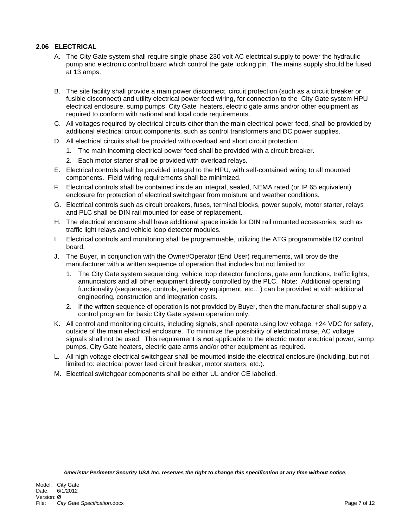#### **2.06 ELECTRICAL**

- A. The City Gate system shall require single phase 230 volt AC electrical supply to power the hydraulic pump and electronic control board which control the gate locking pin. The mains supply should be fused at 13 amps.
- B. The site facility shall provide a main power disconnect, circuit protection (such as a circuit breaker or fusible disconnect) and utility electrical power feed wiring, for connection to the City Gate system HPU electrical enclosure, sump pumps, City Gate heaters, electric gate arms and/or other equipment as required to conform with national and local code requirements.
- C. All voltages required by electrical circuits other than the main electrical power feed, shall be provided by additional electrical circuit components, such as control transformers and DC power supplies.
- D. All electrical circuits shall be provided with overload and short circuit protection.
	- 1. The main incoming electrical power feed shall be provided with a circuit breaker.
	- 2. Each motor starter shall be provided with overload relays.
- E. Electrical controls shall be provided integral to the HPU, with self-contained wiring to all mounted components. Field wiring requirements shall be minimized.
- F. Electrical controls shall be contained inside an integral, sealed, NEMA rated (or IP 65 equivalent) enclosure for protection of electrical switchgear from moisture and weather conditions.
- G. Electrical controls such as circuit breakers, fuses, terminal blocks, power supply, motor starter, relays and PLC shall be DIN rail mounted for ease of replacement.
- H. The electrical enclosure shall have additional space inside for DIN rail mounted accessories, such as traffic light relays and vehicle loop detector modules.
- I. Electrical controls and monitoring shall be programmable, utilizing the ATG programmable B2 control board.
- J. The Buyer, in conjunction with the Owner/Operator (End User) requirements, will provide the manufacturer with a written sequence of operation that includes but not limited to:
	- 1. The City Gate system sequencing, vehicle loop detector functions, gate arm functions, traffic lights, annunciators and all other equipment directly controlled by the PLC. Note: Additional operating functionality (sequences, controls, periphery equipment, etc…) can be provided at with additional engineering, construction and integration costs.
	- 2. If the written sequence of operation is not provided by Buyer, then the manufacturer shall supply a control program for basic City Gate system operation only.
- K. All control and monitoring circuits, including signals, shall operate using low voltage, +24 VDC for safety, outside of the main electrical enclosure. To minimize the possibility of electrical noise, AC voltage signals shall not be used. This requirement is **not** applicable to the electric motor electrical power, sump pumps, City Gate heaters, electric gate arms and/or other equipment as required.
- L. All high voltage electrical switchgear shall be mounted inside the electrical enclosure (including, but not limited to: electrical power feed circuit breaker, motor starters, etc.).
- M. Electrical switchgear components shall be either UL and/or CE labelled.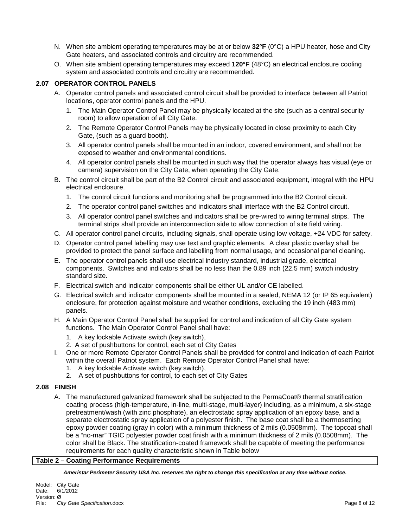- N. When site ambient operating temperatures may be at or below **32°F** (0°C) a HPU heater, hose and City Gate heaters, and associated controls and circuitry are recommended.
- <span id="page-7-0"></span>O. When site ambient operating temperatures may exceed **120°F** (48°C) an electrical enclosure cooling system and associated controls and circuitry are recommended.

#### **2.07 OPERATOR CONTROL PANELS**

- A. Operator control panels and associated control circuit shall be provided to interface between all Patriot locations, operator control panels and the HPU.
	- 1. The Main Operator Control Panel may be physically located at the site (such as a central security room) to allow operation of all City Gate.
	- 2. The Remote Operator Control Panels may be physically located in close proximity to each City Gate, (such as a guard booth).
	- 3. All operator control panels shall be mounted in an indoor, covered environment, and shall not be exposed to weather and environmental conditions.
	- 4. All operator control panels shall be mounted in such way that the operator always has visual (eye or camera) supervision on the City Gate, when operating the City Gate.
- B. The control circuit shall be part of the B2 Control circuit and associated equipment, integral with the HPU electrical enclosure.
	- 1. The control circuit functions and monitoring shall be programmed into the B2 Control circuit.
	- 2. The operator control panel switches and indicators shall interface with the B2 Control circuit.
	- 3. All operator control panel switches and indicators shall be pre-wired to wiring terminal strips. The terminal strips shall provide an interconnection side to allow connection of site field wiring.
- C. All operator control panel circuits, including signals, shall operate using low voltage, +24 VDC for safety.
- D. Operator control panel labelling may use text and graphic elements. A clear plastic overlay shall be provided to protect the panel surface and labelling from normal usage, and occasional panel cleaning.
- E. The operator control panels shall use electrical industry standard, industrial grade, electrical components. Switches and indicators shall be no less than the 0.89 inch (22.5 mm) switch industry standard size.
- F. Electrical switch and indicator components shall be either UL and/or CE labelled.
- G. Electrical switch and indicator components shall be mounted in a sealed, NEMA 12 (or IP 65 equivalent) enclosure, for protection against moisture and weather conditions, excluding the 19 inch (483 mm) panels.
- H. A Main Operator Control Panel shall be supplied for control and indication of all City Gate system functions. The Main Operator Control Panel shall have:
	- 1. A key lockable Activate switch (key switch),
	- 2. A set of pushbuttons for control, each set of City Gates
- I. One or more Remote Operator Control Panels shall be provided for control and indication of each Patriot within the overall Patriot system. Each Remote Operator Control Panel shall have:
	- 1. A key lockable Activate switch (key switch),
	- 2. A set of pushbuttons for control, to each set of City Gates

#### **2.08 FINISH**

A. The manufactured galvanized framework shall be subjected to the PermaCoat® thermal stratification coating process (high-temperature, in-line, multi-stage, multi-layer) including, as a minimum, a six-stage pretreatment/wash (with zinc phosphate), an electrostatic spray application of an epoxy base, and a separate electrostatic spray application of a polyester finish. The base coat shall be a thermosetting epoxy powder coating (gray in color) with a minimum thickness of 2 mils (0.0508mm). The topcoat shall be a "no-mar" TGIC polyester powder coat finish with a minimum thickness of 2 mils (0.0508mm). The color shall be Black. The stratification-coated framework shall be capable of meeting the performance requirements for each quality characteristic shown in Table below

#### **Table 2 – Coating Performance Requirements**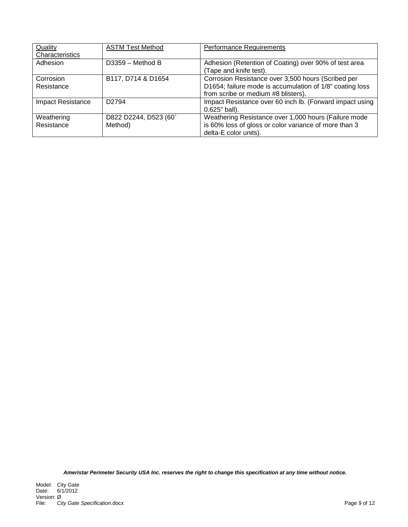| Quality                  | <b>ASTM Test Method</b> | <b>Performance Requirements</b>                          |
|--------------------------|-------------------------|----------------------------------------------------------|
| Characteristics          |                         |                                                          |
| Adhesion                 | $D3359 - Method B$      | Adhesion (Retention of Coating) over 90% of test area    |
|                          |                         | (Tape and knife test).                                   |
| Corrosion                | B117, D714 & D1654      | Corrosion Resistance over 3,500 hours (Scribed per       |
| Resistance               |                         | D1654; failure mode is accumulation of 1/8" coating loss |
|                          |                         | from scribe or medium #8 blisters).                      |
| <b>Impact Resistance</b> | D <sub>2794</sub>       | Impact Resistance over 60 inch lb. (Forward impact using |
|                          |                         | 0.625" ball).                                            |
| Weathering               | D822 D2244, D523 (60°   | Weathering Resistance over 1,000 hours (Failure mode     |
| Resistance               | Method)                 | is 60% loss of gloss or color variance of more than 3    |
|                          |                         | delta-E color units).                                    |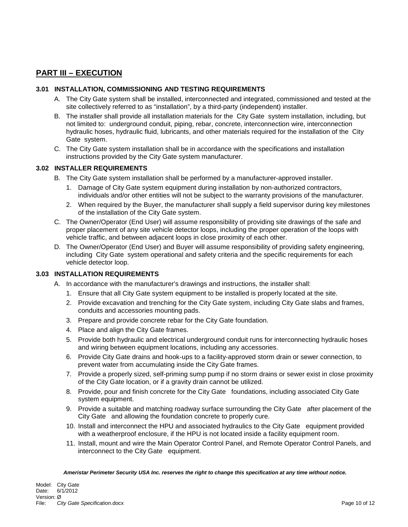# **PART III – EXECUTION**

#### **3.01 INSTALLATION, COMMISSIONING AND TESTING REQUIREMENTS**

- A. The City Gate system shall be installed, interconnected and integrated, commissioned and tested at the site collectively referred to as "installation", by a third-party (independent) installer.
- B. The installer shall provide all installation materials for the City Gate system installation, including, but not limited to: underground conduit, piping, rebar, concrete, interconnection wire, interconnection hydraulic hoses, hydraulic fluid, lubricants, and other materials required for the installation of the City Gate system.
- C. The City Gate system installation shall be in accordance with the specifications and installation instructions provided by the City Gate system manufacturer.

## **3.02 INSTALLER REQUIREMENTS**

- B. The City Gate system installation shall be performed by a manufacturer-approved installer.
	- 1. Damage of City Gate system equipment during installation by non-authorized contractors, individuals and/or other entities will not be subject to the warranty provisions of the manufacturer.
	- 2. When required by the Buyer, the manufacturer shall supply a field supervisor during key milestones of the installation of the City Gate system.
- C. The Owner/Operator (End User) will assume responsibility of providing site drawings of the safe and proper placement of any site vehicle detector loops, including the proper operation of the loops with vehicle traffic, and between adjacent loops in close proximity of each other.
- D. The Owner/Operator (End User) and Buyer will assume responsibility of providing safety engineering, including City Gate system operational and safety criteria and the specific requirements for each vehicle detector loop.

#### **3.03 INSTALLATION REQUIREMENTS**

- A. In accordance with the manufacturer's drawings and instructions, the installer shall:
	- 1. Ensure that all City Gate system equipment to be installed is properly located at the site.
	- 2. Provide excavation and trenching for the City Gate system, including City Gate slabs and frames, conduits and accessories mounting pads.
	- 3. Prepare and provide concrete rebar for the City Gate foundation.
	- 4. Place and align the City Gate frames.
	- 5. Provide both hydraulic and electrical underground conduit runs for interconnecting hydraulic hoses and wiring between equipment locations, including any accessories.
	- 6. Provide City Gate drains and hook-ups to a facility-approved storm drain or sewer connection, to prevent water from accumulating inside the City Gate frames.
	- 7. Provide a properly sized, self-priming sump pump if no storm drains or sewer exist in close proximity of the City Gate location, or if a gravity drain cannot be utilized.
	- 8. Provide, pour and finish concrete for the City Gate foundations, including associated City Gate system equipment.
	- 9. Provide a suitable and matching roadway surface surrounding the City Gate after placement of the City Gate and allowing the foundation concrete to properly cure.
	- 10. Install and interconnect the HPU and associated hydraulics to the City Gate equipment provided with a weatherproof enclosure, if the HPU is not located inside a facility equipment room.
	- 11. Install, mount and wire the Main Operator Control Panel, and Remote Operator Control Panels, and interconnect to the City Gate equipment.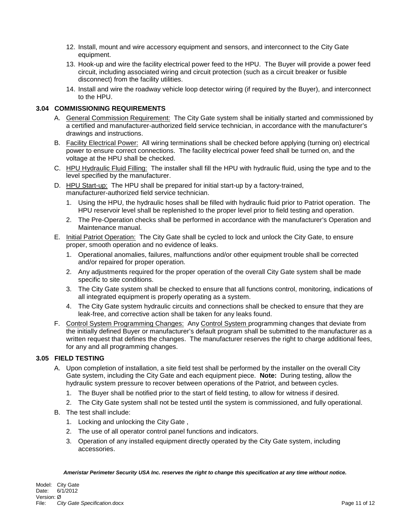- 12. Install, mount and wire accessory equipment and sensors, and interconnect to the City Gate equipment.
- 13. Hook-up and wire the facility electrical power feed to the HPU. The Buyer will provide a power feed circuit, including associated wiring and circuit protection (such as a circuit breaker or fusible disconnect) from the facility utilities.
- 14. Install and wire the roadway vehicle loop detector wiring (if required by the Buyer), and interconnect to the HPU.

#### **3.04 COMMISSIONING REQUIREMENTS**

- A. General Commission Requirement: The City Gate system shall be initially started and commissioned by a certified and manufacturer-authorized field service technician, in accordance with the manufacturer's drawings and instructions.
- B. Facility Electrical Power: All wiring terminations shall be checked before applying (turning on) electrical power to ensure correct connections. The facility electrical power feed shall be turned on, and the voltage at the HPU shall be checked.
- C. HPU Hydraulic Fluid Filling: The installer shall fill the HPU with hydraulic fluid, using the type and to the level specified by the manufacturer.
- D. HPU Start-up: The HPU shall be prepared for initial start-up by a factory-trained, manufacturer-authorized field service technician.
	- 1. Using the HPU, the hydraulic hoses shall be filled with hydraulic fluid prior to Patriot operation. The HPU reservoir level shall be replenished to the proper level prior to field testing and operation.
	- 2. The Pre-Operation checks shall be performed in accordance with the manufacturer's Operation and Maintenance manual.
- E. Initial Patriot Operation: The City Gate shall be cycled to lock and unlock the City Gate, to ensure proper, smooth operation and no evidence of leaks.
	- 1. Operational anomalies, failures, malfunctions and/or other equipment trouble shall be corrected and/or repaired for proper operation.
	- 2. Any adjustments required for the proper operation of the overall City Gate system shall be made specific to site conditions.
	- 3. The City Gate system shall be checked to ensure that all functions control, monitoring, indications of all integrated equipment is properly operating as a system.
	- 4. The City Gate system hydraulic circuits and connections shall be checked to ensure that they are leak-free, and corrective action shall be taken for any leaks found.
- F. Control System Programming Changes: Any Control System programming changes that deviate from the initially defined Buyer or manufacturer's default program shall be submitted to the manufacturer as a written request that defines the changes. The manufacturer reserves the right to charge additional fees, for any and all programming changes.

#### **3.05 FIELD TESTING**

- A. Upon completion of installation, a site field test shall be performed by the installer on the overall City Gate system, including the City Gate and each equipment piece. **Note:** During testing, allow the hydraulic system pressure to recover between operations of the Patriot, and between cycles.
	- 1. The Buyer shall be notified prior to the start of field testing, to allow for witness if desired.
	- 2. The City Gate system shall not be tested until the system is commissioned, and fully operational.
- B. The test shall include:
	- 1. Locking and unlocking the City Gate ,
	- 2. The use of all operator control panel functions and indicators.
	- 3. Operation of any installed equipment directly operated by the City Gate system, including accessories.